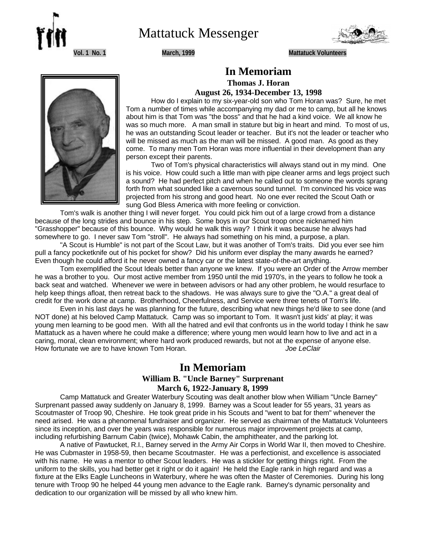

Mattatuck Messenger



**Vol. 1 No. 1 March, 1999 Mattatuck Volunteers**



# **In Memoriam Thomas J. Horan August 26, 1934-December 13, 1998**

How do I explain to my six-year-old son who Tom Horan was? Sure, he met Tom a number of times while accompanying my dad or me to camp, but all he knows about him is that Tom was "the boss" and that he had a kind voice. We all know he was so much more. A man small in stature but big in heart and mind. To most of us, he was an outstanding Scout leader or teacher. But it's not the leader or teacher who will be missed as much as the man will be missed. A good man. As good as they come. To many men Tom Horan was more influential in their development than any person except their parents.

Two of Tom's physical characteristics will always stand out in my mind. One is his voice. How could such a little man with pipe cleaner arms and legs project such a sound? He had perfect pitch and when he called out to someone the words sprang forth from what sounded like a cavernous sound tunnel. I'm convinced his voice was projected from his strong and good heart. No one ever recited the Scout Oath or sung God Bless America with more feeling or conviction.

Tom's walk is another thing I will never forget. You could pick him out of a large crowd from a distance because of the long strides and bounce in his step. Some boys in our Scout troop once nicknamed him "Grasshopper" because of this bounce. Why would he walk this way? I think it was because he always had somewhere to go. I never saw Tom "stroll". He always had something on his mind, a purpose, a plan.

"A Scout is Humble" is not part of the Scout Law, but it was another of Tom's traits. Did you ever see him pull a fancy pocketknife out of his pocket for show? Did his uniform ever display the many awards he earned? Even though he could afford it he never owned a fancy car or the latest state-of-the-art anything.

Tom exemplified the Scout Ideals better than anyone we knew. If you were an Order of the Arrow member he was a brother to you. Our most active member from 1950 until the mid 1970's, in the years to follow he took a back seat and watched. Whenever we were in between advisors or had any other problem, he would resurface to help keep things afloat, then retreat back to the shadows. He was always sure to give the "O.A." a great deal of credit for the work done at camp. Brotherhood, Cheerfulness, and Service were three tenets of Tom's life.

Even in his last days he was planning for the future, describing what new things he'd like to see done (and NOT done) at his beloved Camp Mattatuck. Camp was so important to Tom. It wasn't just kids' at play; it was young men learning to be good men. With all the hatred and evil that confronts us in the world today I think he saw Mattatuck as a haven where he could make a difference; where young men would learn how to live and act in a caring, moral, clean environment; where hard work produced rewards, but not at the expense of anyone else. How fortunate we are to have known Tom Horan. *Joe LeClair*

# **In Memoriam**

### **William B. "Uncle Barney" Surprenant March 6, 1922-January 8, 1999**

Camp Mattatuck and Greater Waterbury Scouting was dealt another blow when William "Uncle Barney" Surprenant passed away suddenly on January 8, 1999. Barney was a Scout leader for 55 years, 31 years as Scoutmaster of Troop 90, Cheshire. He took great pride in his Scouts and "went to bat for them" whenever the need arised. He was a phenomenal fundraiser and organizer. He served as chairman of the Mattatuck Volunteers since its inception, and over the years was responsible for numerous major improvement projects at camp, including refurbishing Barnum Cabin (twice), Mohawk Cabin, the amphitheater, and the parking lot.

A native of Pawtucket, R.I., Barney served in the Army Air Corps in World War II, then moved to Cheshire. He was Cubmaster in 1958-59, then became Scoutmaster. He was a perfectionist, and excellence is associated with his name. He was a mentor to other Scout leaders. He was a stickler for getting things right. From the uniform to the skills, you had better get it right or do it again! He held the Eagle rank in high regard and was a fixture at the Elks Eagle Luncheons in Waterbury, where he was often the Master of Ceremonies. During his long tenure with Troop 90 he helped 44 young men advance to the Eagle rank. Barney's dynamic personality and dedication to our organization will be missed by all who knew him.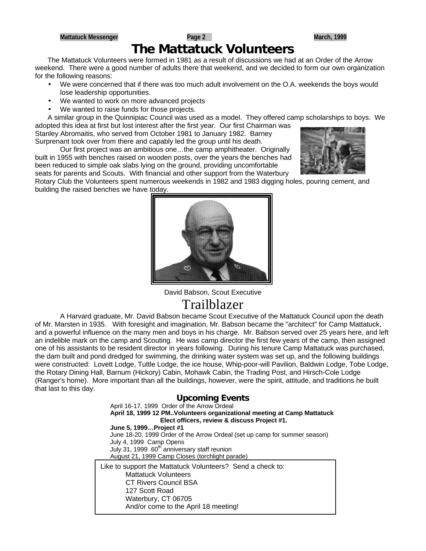# **The Mattatuck Volunteers**

The Mattatuck Volunteers were formed in 1981 as a result of discussions we had at an Order of the Arrow weekend. There were a good number of adults there that weekend, and we decided to form our own organization for the following reasons:

- We were concerned that if there was too much adult involvement on the O.A. weekends the boys would lose leadership opportunities.
- We wanted to work on more advanced projects
- We wanted to raise funds for those projects.

A similar group in the Quinnipiac Council was used as a model. They offered camp scholarships to boys. We adopted this idea at first but lost interest after the first year. Our first Chairman was

Stanley Abromaitis, who served from October 1981 to January 1982. Barney Surprenant took over from there and capably led the group until his death.

Our first project was an ambitious one…the camp amphitheater. Originally built in 1955 with benches raised on wooden posts, over the years the benches had been reduced to simple oak slabs lying on the ground, providing uncomfortable seats for parents and Scouts. With financial and other support from the Waterbury



Rotary Club the Volunteers spent numerous weekends in 1982 and 1983 digging holes, pouring cement, and building the raised benches we have today.



David Babson, Scout Executive Trailblazer

A Harvard graduate, Mr. David Babson became Scout Executive of the Mattatuck Council upon the death of Mr. Marsten in 1935. With foresight and imagination, Mr. Babson became the "architect" for Camp Mattatuck, and a powerful influence on the many men and boys in his charge. Mr. Babson served over 25 years here, and left an indelible mark on the camp and Scouting. He was camp director the first few years of the camp, then assigned one of his assistants to be resident director in years following. During his tenure Camp Mattatuck was purchased, the dam built and pond dredged for swimming, the drinking water system was set up, and the following buildings were constructed: Lovett Lodge, Tuttle Lodge, the ice house, Whip-poor-will Pavilion, Baldwin Lodge, Tobe Lodge, the Rotary Dining Hall, Barnum (Hickory) Cabin, Mohawk Cabin, the Trading Post, and Hirsch-Cole Lodge (Ranger's home). More important than all the buildings, however, were the spirit, attitude, and traditions he built that last to this day.

# **Upcoming Events**

April 16-17, 1999 Order of the Arrow Ordeal **April 18, 1999 12 PM..Volunteers organizational meeting at Camp Mattatuck Elect officers, review & discuss Project #1. June 5, 1999…Project #1** June 18-20, 1999 Order of the Arrow Ordeal (set up camp for summer season) July 4, 1999 Camp Opens July 31, 1999 60<sup>th</sup> anniversary staff reunion August 21, 1999 Camp Closes (torchlight parade) Like to support the Mattatuck Volunteers? Send a check to: Mattatuck Volunteers CT Rivers Council BSA 127 Scott Road Waterbury, CT 06705 And/or come to the April 18 meeting!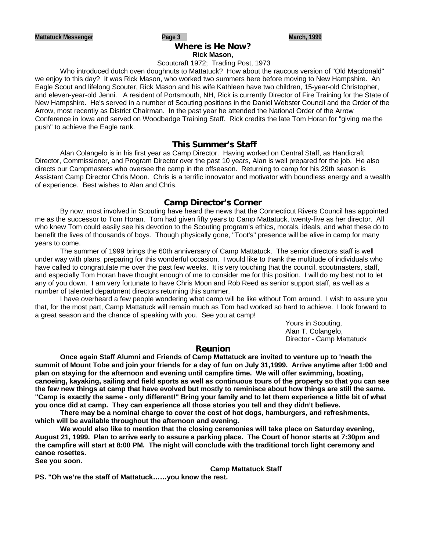#### **Where is He Now? Rick Mason,**

#### Scoutcraft 1972; Trading Post, 1973

Who introduced dutch oven doughnuts to Mattatuck? How about the raucous version of "Old Macdonald" we enjoy to this day? It was Rick Mason, who worked two summers here before moving to New Hampshire. An Eagle Scout and lifelong Scouter, Rick Mason and his wife Kathleen have two children, 15-year-old Christopher, and eleven-year-old Jenni. A resident of Portsmouth, NH, Rick is currently Director of Fire Training for the State of New Hampshire. He's served in a number of Scouting positions in the Daniel Webster Council and the Order of the Arrow, most recently as District Chairman. In the past year he attended the National Order of the Arrow Conference in Iowa and served on Woodbadge Training Staff. Rick credits the late Tom Horan for "giving me the push" to achieve the Eagle rank.

#### **This Summer's Staff**

Alan Colangelo is in his first year as Camp Director. Having worked on Central Staff, as Handicraft Director, Commissioner, and Program Director over the past 10 years, Alan is well prepared for the job. He also directs our Campmasters who oversee the camp in the offseason. Returning to camp for his 29th season is Assistant Camp Director Chris Moon. Chris is a terrific innovator and motivator with boundless energy and a wealth of experience. Best wishes to Alan and Chris.

#### **Camp Director's Corner**

By now, most involved in Scouting have heard the news that the Connecticut Rivers Council has appointed me as the successor to Tom Horan. Tom had given fifty years to Camp Mattatuck, twenty-five as her director. All who knew Tom could easily see his devotion to the Scouting program's ethics, morals, ideals, and what these do to benefit the lives of thousands of boys. Though physically gone, "Toot's" presence will be alive in camp for many years to come.

The summer of 1999 brings the 60th anniversary of Camp Mattatuck. The senior directors staff is well under way with plans, preparing for this wonderful occasion. I would like to thank the multitude of individuals who have called to congratulate me over the past few weeks. It is very touching that the council, scoutmasters, staff, and especially Tom Horan have thought enough of me to consider me for this position. I will do my best not to let any of you down. I am very fortunate to have Chris Moon and Rob Reed as senior support staff, as well as a number of talented department directors returning this summer.

I have overheard a few people wondering what camp will be like without Tom around. I wish to assure you that, for the most part, Camp Mattatuck will remain much as Tom had worked so hard to achieve. I look forward to a great season and the chance of speaking with you. See you at camp!

Yours in Scouting, Alan T. Colangelo, Director - Camp Mattatuck

#### **Reunion**

**Once again Staff Alumni and Friends of Camp Mattatuck are invited to venture up to 'neath the summit of Mount Tobe and join your friends for a day of fun on July 31,1999. Arrive anytime after 1:00 and plan on staying for the afternoon and evening until campfire time. We will offer swimming, boating, canoeing, kayaking, sailing and field sports as well as continuous tours of the property so that you can see the few new things at camp that have evolved but mostly to reminisce about how things are still the same. "Camp is exactly the same - only different!" Bring your family and to let them experience a little bit of what you once did at camp. They can experience all those stories you tell and they didn't believe.**

**There may be a nominal charge to cover the cost of hot dogs, hamburgers, and refreshments, which will be available throughout the afternoon and evening.**

**We would also like to mention that the closing ceremonies will take place on Saturday evening, August 21, 1999. Plan to arrive early to assure a parking place. The Court of honor starts at 7:30pm and the campfire will start at 8:00 PM. The night will conclude with the traditional torch light ceremony and canoe rosettes.**

**See you soon.**

**Camp Mattatuck Staff**

**PS. "Oh we're the staff of Mattatuck……you know the rest.**